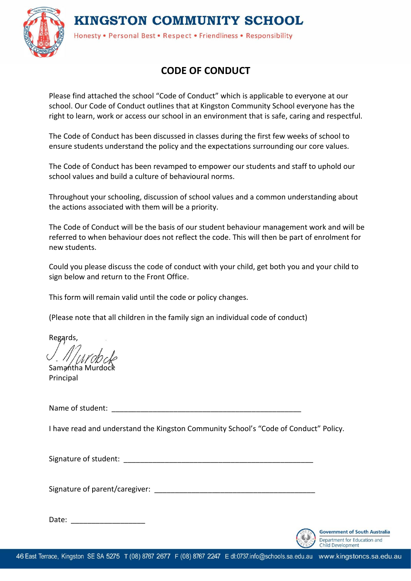## **KINGSTON COMMUNITY SCHOOL**



Honesty . Personal Best . Respect . Friendliness . Responsibility

## **CODE OF CONDUCT**

Please find attached the school "Code of Conduct" which is applicable to everyone at our school. Our Code of Conduct outlines that at Kingston Community School everyone has the right to learn, work or access our school in an environment that is safe, caring and respectful.

The Code of Conduct has been discussed in classes during the first few weeks of school to ensure students understand the policy and the expectations surrounding our core values.

The Code of Conduct has been revamped to empower our students and staff to uphold our school values and build a culture of behavioural norms.

Throughout your schooling, discussion of school values and a common understanding about the actions associated with them will be a priority.

The Code of Conduct will be the basis of our student behaviour management work and will be referred to when behaviour does not reflect the code. This will then be part of enrolment for new students.

Could you please discuss the code of conduct with your child, get both you and your child to sign below and return to the Front Office.

This form will remain valid until the code or policy changes.

(Please note that all children in the family sign an individual code of conduct)

Regards,

Samantha Murdoc Principal

Name of student:  $\blacksquare$ 

I have read and understand the Kingston Community School's "Code of Conduct" Policy.

Signature of student:  $\Box$ 

Signature of parent/caregiver: **Example 2018** 

Date: \_\_\_\_\_\_\_\_\_\_\_\_\_\_\_\_\_\_



**Government of South Australia** Department for Education and<br>Child Development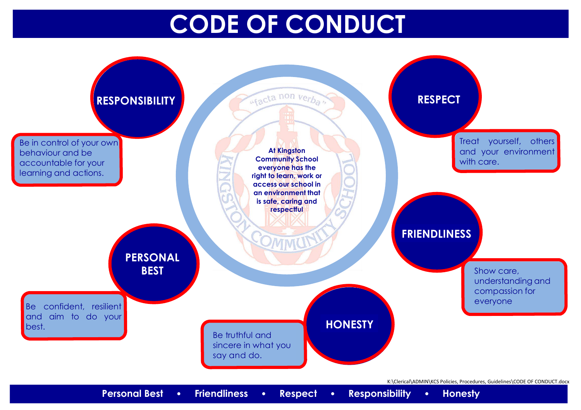## **CODE OF CONDUCT**